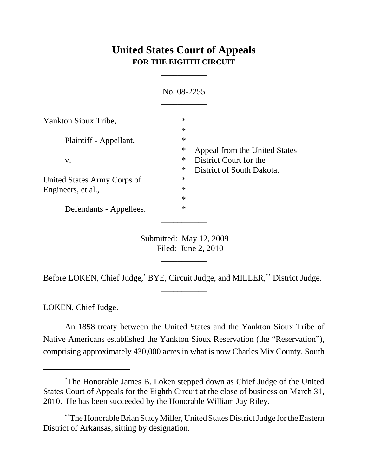## **United States Court of Appeals FOR THE EIGHTH CIRCUIT**

\_\_\_\_\_\_\_\_\_\_\_

|                             | No. 08-2255                                                        |                               |
|-----------------------------|--------------------------------------------------------------------|-------------------------------|
| Yankton Sioux Tribe,        | $\ast$<br>$\ast$                                                   | Appeal from the United States |
| Plaintiff - Appellant,      | $\ast$<br>∗                                                        |                               |
| V.                          | ∗<br>District Court for the<br>$\ast$<br>District of South Dakota. |                               |
| United States Army Corps of | $\ast$                                                             |                               |
| Engineers, et al.,          | $\ast$                                                             |                               |
|                             | $\ast$                                                             |                               |
| Defendants - Appellees.     | $\ast$                                                             |                               |

Submitted: May 12, 2009 Filed: June 2, 2010

\_\_\_\_\_\_\_\_\_\_\_

Before LOKEN, Chief Judge,\* BYE, Circuit Judge, and MILLER,\*\* District Judge. \_\_\_\_\_\_\_\_\_\_\_

LOKEN, Chief Judge.

An 1858 treaty between the United States and the Yankton Sioux Tribe of Native Americans established the Yankton Sioux Reservation (the "Reservation"), comprising approximately 430,000 acres in what is now Charles Mix County, South

<sup>\*</sup> The Honorable James B. Loken stepped down as Chief Judge of the United States Court of Appeals for the Eighth Circuit at the close of business on March 31, 2010. He has been succeeded by the Honorable William Jay Riley.

<sup>\*\*</sup>The Honorable Brian Stacy Miller, United States District Judge for the Eastern District of Arkansas, sitting by designation.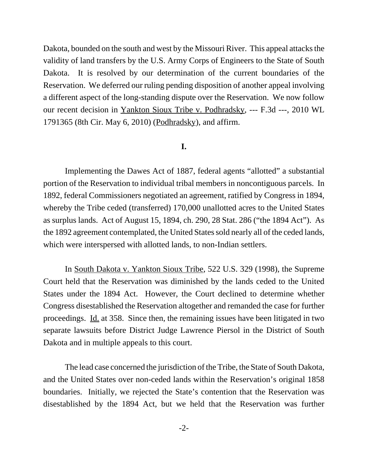Dakota, bounded on the south and west by the Missouri River. This appeal attacks the validity of land transfers by the U.S. Army Corps of Engineers to the State of South Dakota. It is resolved by our determination of the current boundaries of the Reservation. We deferred our ruling pending disposition of another appeal involving a different aspect of the long-standing dispute over the Reservation. We now follow our recent decision in Yankton Sioux Tribe v. Podhradsky, --- F.3d ---, 2010 WL 1791365 (8th Cir. May 6, 2010) (Podhradsky), and affirm.

## **I.**

Implementing the Dawes Act of 1887, federal agents "allotted" a substantial portion of the Reservation to individual tribal members in noncontiguous parcels. In 1892, federal Commissioners negotiated an agreement, ratified by Congress in 1894, whereby the Tribe ceded (transferred) 170,000 unallotted acres to the United States as surplus lands. Act of August 15, 1894, ch. 290, 28 Stat. 286 ("the 1894 Act"). As the 1892 agreement contemplated, the United States sold nearly all of the ceded lands, which were interspersed with allotted lands, to non-Indian settlers.

In South Dakota v. Yankton Sioux Tribe, 522 U.S. 329 (1998), the Supreme Court held that the Reservation was diminished by the lands ceded to the United States under the 1894 Act. However, the Court declined to determine whether Congress disestablished the Reservation altogether and remanded the case for further proceedings. Id. at 358. Since then, the remaining issues have been litigated in two separate lawsuits before District Judge Lawrence Piersol in the District of South Dakota and in multiple appeals to this court.

The lead case concerned the jurisdiction of the Tribe, the State of South Dakota, and the United States over non-ceded lands within the Reservation's original 1858 boundaries. Initially, we rejected the State's contention that the Reservation was disestablished by the 1894 Act, but we held that the Reservation was further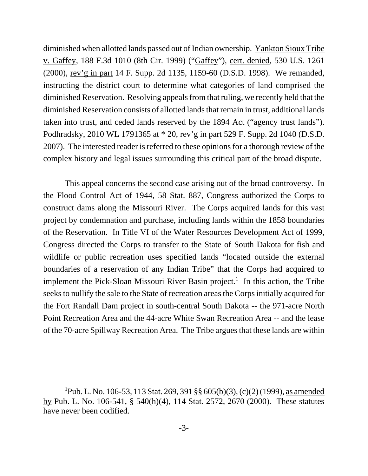diminished when allotted lands passed out of Indian ownership. Yankton Sioux Tribe v. Gaffey, 188 F.3d 1010 (8th Cir. 1999) ("Gaffey"), cert. denied, 530 U.S. 1261 (2000), rev'g in part 14 F. Supp. 2d 1135, 1159-60 (D.S.D. 1998). We remanded, instructing the district court to determine what categories of land comprised the diminished Reservation. Resolving appeals from that ruling, we recently held that the diminished Reservation consists of allotted lands that remain in trust, additional lands taken into trust, and ceded lands reserved by the 1894 Act ("agency trust lands"). Podhradsky, 2010 WL 1791365 at \* 20, rev'g in part 529 F. Supp. 2d 1040 (D.S.D. 2007). The interested reader is referred to these opinions for a thorough review of the complex history and legal issues surrounding this critical part of the broad dispute.

This appeal concerns the second case arising out of the broad controversy. In the Flood Control Act of 1944, 58 Stat. 887, Congress authorized the Corps to construct dams along the Missouri River. The Corps acquired lands for this vast project by condemnation and purchase, including lands within the 1858 boundaries of the Reservation. In Title VI of the Water Resources Development Act of 1999, Congress directed the Corps to transfer to the State of South Dakota for fish and wildlife or public recreation uses specified lands "located outside the external boundaries of a reservation of any Indian Tribe" that the Corps had acquired to implement the Pick-Sloan Missouri River Basin project.<sup>1</sup> In this action, the Tribe seeks to nullify the sale to the State of recreation areas the Corps initially acquired for the Fort Randall Dam project in south-central South Dakota -- the 971-acre North Point Recreation Area and the 44-acre White Swan Recreation Area -- and the lease of the 70-acre Spillway Recreation Area. The Tribe argues that these lands are within

<sup>&</sup>lt;sup>1</sup>Pub. L. No. 106-53, 113 Stat. 269, 391 §§ 605(b)(3), (c)(2) (1999), <u>as amended</u> by Pub. L. No. 106-541, § 540(h)(4), 114 Stat. 2572, 2670 (2000). These statutes have never been codified.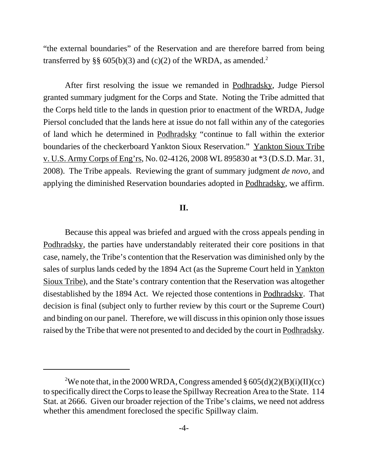"the external boundaries" of the Reservation and are therefore barred from being transferred by §§ 605(b)(3) and (c)(2) of the WRDA, as amended.<sup>2</sup>

After first resolving the issue we remanded in Podhradsky, Judge Piersol granted summary judgment for the Corps and State. Noting the Tribe admitted that the Corps held title to the lands in question prior to enactment of the WRDA, Judge Piersol concluded that the lands here at issue do not fall within any of the categories of land which he determined in Podhradsky "continue to fall within the exterior boundaries of the checkerboard Yankton Sioux Reservation." Yankton Sioux Tribe v. U.S. Army Corps of Eng'rs, No. 02-4126, 2008 WL 895830 at \*3 (D.S.D. Mar. 31, 2008). The Tribe appeals. Reviewing the grant of summary judgment *de novo*, and applying the diminished Reservation boundaries adopted in Podhradsky, we affirm.

## **II.**

Because this appeal was briefed and argued with the cross appeals pending in Podhradsky, the parties have understandably reiterated their core positions in that case, namely, the Tribe's contention that the Reservation was diminished only by the sales of surplus lands ceded by the 1894 Act (as the Supreme Court held in Yankton Sioux Tribe), and the State's contrary contention that the Reservation was altogether disestablished by the 1894 Act. We rejected those contentions in Podhradsky. That decision is final (subject only to further review by this court or the Supreme Court) and binding on our panel. Therefore, we will discuss in this opinion only those issues raised by the Tribe that were not presented to and decided by the court in Podhradsky.

<sup>&</sup>lt;sup>2</sup>We note that, in the 2000 WRDA, Congress amended  $\S 605(d)(2)(B)(i)(II)(cc)$ to specifically direct the Corps to lease the Spillway Recreation Area to the State. 114 Stat. at 2666. Given our broader rejection of the Tribe's claims, we need not address whether this amendment foreclosed the specific Spillway claim.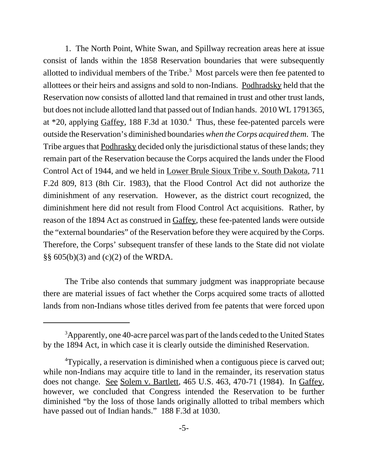1. The North Point, White Swan, and Spillway recreation areas here at issue consist of lands within the 1858 Reservation boundaries that were subsequently allotted to individual members of the Tribe. $3$  Most parcels were then fee patented to allottees or their heirs and assigns and sold to non-Indians. Podhradsky held that the Reservation now consists of allotted land that remained in trust and other trust lands, but does not include allotted land that passed out of Indian hands. 2010 WL 1791365, at  $*20$ , applying Gaffey, 188 F.3d at 1030.<sup>4</sup> Thus, these fee-patented parcels were outside the Reservation's diminished boundaries *when the Corps acquired them*. The Tribe argues that Podhrasky decided only the jurisdictional status of these lands; they remain part of the Reservation because the Corps acquired the lands under the Flood Control Act of 1944, and we held in Lower Brule Sioux Tribe v. South Dakota, 711 F.2d 809, 813 (8th Cir. 1983), that the Flood Control Act did not authorize the diminishment of any reservation. However, as the district court recognized, the diminishment here did not result from Flood Control Act acquisitions. Rather, by reason of the 1894 Act as construed in Gaffey, these fee-patented lands were outside the "external boundaries" of the Reservation before they were acquired by the Corps. Therefore, the Corps' subsequent transfer of these lands to the State did not violate §§ 605(b)(3) and (c)(2) of the WRDA.

The Tribe also contends that summary judgment was inappropriate because there are material issues of fact whether the Corps acquired some tracts of allotted lands from non-Indians whose titles derived from fee patents that were forced upon

 $3$ Apparently, one 40-acre parcel was part of the lands ceded to the United States by the 1894 Act, in which case it is clearly outside the diminished Reservation.

<sup>4</sup> Typically, a reservation is diminished when a contiguous piece is carved out; while non-Indians may acquire title to land in the remainder, its reservation status does not change. See Solem v. Bartlett, 465 U.S. 463, 470-71 (1984). In Gaffey, however, we concluded that Congress intended the Reservation to be further diminished "by the loss of those lands originally allotted to tribal members which have passed out of Indian hands." 188 F.3d at 1030.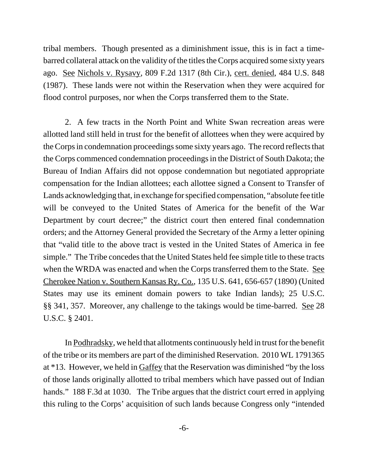tribal members. Though presented as a diminishment issue, this is in fact a timebarred collateral attack on the validity of the titles the Corps acquired some sixty years ago. See Nichols v. Rysavy, 809 F.2d 1317 (8th Cir.), cert. denied, 484 U.S. 848 (1987). These lands were not within the Reservation when they were acquired for flood control purposes, nor when the Corps transferred them to the State.

2. A few tracts in the North Point and White Swan recreation areas were allotted land still held in trust for the benefit of allottees when they were acquired by the Corps in condemnation proceedings some sixty years ago. The record reflects that the Corps commenced condemnation proceedings in the District of South Dakota; the Bureau of Indian Affairs did not oppose condemnation but negotiated appropriate compensation for the Indian allottees; each allottee signed a Consent to Transfer of Lands acknowledging that, in exchange for specified compensation, "absolute fee title will be conveyed to the United States of America for the benefit of the War Department by court decree;" the district court then entered final condemnation orders; and the Attorney General provided the Secretary of the Army a letter opining that "valid title to the above tract is vested in the United States of America in fee simple." The Tribe concedes that the United States held fee simple title to these tracts when the WRDA was enacted and when the Corps transferred them to the State. See Cherokee Nation v. Southern Kansas Ry. Co., 135 U.S. 641, 656-657 (1890) (United States may use its eminent domain powers to take Indian lands); 25 U.S.C. §§ 341, 357. Moreover, any challenge to the takings would be time-barred. See 28 U.S.C. § 2401.

In Podhradsky, we held that allotments continuously held in trust for the benefit of the tribe or its members are part of the diminished Reservation. 2010 WL 1791365 at \*13. However, we held in Gaffey that the Reservation was diminished "by the loss of those lands originally allotted to tribal members which have passed out of Indian hands." 188 F.3d at 1030. The Tribe argues that the district court erred in applying this ruling to the Corps' acquisition of such lands because Congress only "intended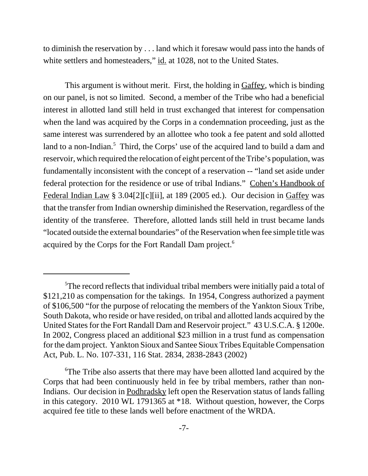to diminish the reservation by . . . land which it foresaw would pass into the hands of white settlers and homesteaders," id. at 1028, not to the United States.

This argument is without merit. First, the holding in Gaffey, which is binding on our panel, is not so limited. Second, a member of the Tribe who had a beneficial interest in allotted land still held in trust exchanged that interest for compensation when the land was acquired by the Corps in a condemnation proceeding, just as the same interest was surrendered by an allottee who took a fee patent and sold allotted land to a non-Indian.<sup>5</sup> Third, the Corps' use of the acquired land to build a dam and reservoir, which required the relocation of eight percent of the Tribe's population, was fundamentally inconsistent with the concept of a reservation -- "land set aside under federal protection for the residence or use of tribal Indians." Cohen's Handbook of Federal Indian Law § 3.04[2][c][ii], at 189 (2005 ed.). Our decision in Gaffey was that the transfer from Indian ownership diminished the Reservation, regardless of the identity of the transferee. Therefore, allotted lands still held in trust became lands "located outside the external boundaries" of the Reservation when fee simple title was acquired by the Corps for the Fort Randall Dam project.<sup>6</sup>

<sup>&</sup>lt;sup>5</sup>The record reflects that individual tribal members were initially paid a total of \$121,210 as compensation for the takings. In 1954, Congress authorized a payment of \$106,500 "for the purpose of relocating the members of the Yankton Sioux Tribe, South Dakota, who reside or have resided, on tribal and allotted lands acquired by the United States for the Fort Randall Dam and Reservoir project." 43 U.S.C.A. § 1200e. In 2002, Congress placed an additional \$23 million in a trust fund as compensation for the dam project. Yankton Sioux and Santee Sioux Tribes Equitable Compensation Act, Pub. L. No. 107-331, 116 Stat. 2834, 2838-2843 (2002)

<sup>&</sup>lt;sup>6</sup>The Tribe also asserts that there may have been allotted land acquired by the Corps that had been continuously held in fee by tribal members, rather than non-Indians. Our decision in Podhradsky left open the Reservation status of lands falling in this category. 2010 WL 1791365 at \*18. Without question, however, the Corps acquired fee title to these lands well before enactment of the WRDA.